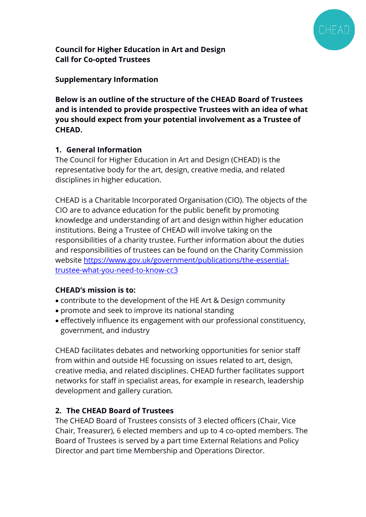

**Council for Higher Education in Art and Design Call for Co-opted Trustees**

## **Supplementary Information**

**Below is an outline of the structure of the CHEAD Board of Trustees and is intended to provide prospective Trustees with an idea of what you should expect from your potential involvement as a Trustee of CHEAD.**

## **1. General Information**

The Council for Higher Education in Art and Design (CHEAD) is the representative body for the art, design, creative media, and related disciplines in higher education.

CHEAD is a Charitable Incorporated Organisation (CIO). The objects of the CIO are to advance education for the public benefit by promoting knowledge and understanding of art and design within higher education institutions. Being a Trustee of CHEAD will involve taking on the responsibilities of a charity trustee. Further information about the duties and responsibilities of trustees can be found on the Charity Commission website [https://www.gov.uk/government/publications/the-essential](https://www.gov.uk/government/publications/the-essential-trustee-what-you-need-to-know-cc3)[trustee-what-you-need-to-know-cc3](https://www.gov.uk/government/publications/the-essential-trustee-what-you-need-to-know-cc3)

#### **CHEAD's mission is to:**

- contribute to the development of the HE Art & Design community
- promote and seek to improve its national standing
- effectively influence its engagement with our professional constituency, government, and industry

CHEAD facilitates debates and networking opportunities for senior staff from within and outside HE focussing on issues related to art, design, creative media, and related disciplines. CHEAD further facilitates support networks for staff in specialist areas, for example in research, leadership development and gallery curation.

# **2. The CHEAD Board of Trustees**

The CHEAD Board of Trustees consists of 3 elected officers (Chair, Vice Chair, Treasurer), 6 elected members and up to 4 co-opted members. The Board of Trustees is served by a part time External Relations and Policy Director and part time Membership and Operations Director.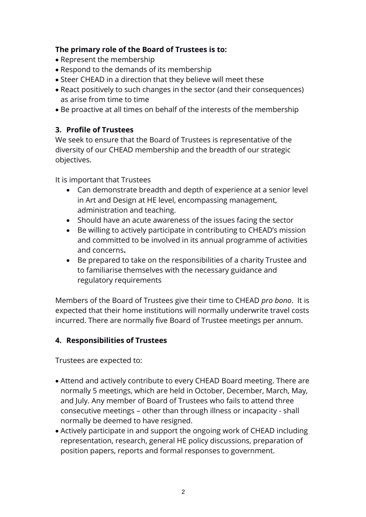## **The primary role of the Board of Trustees is to:**

- Represent the membership
- Respond to the demands of its membership
- Steer CHEAD in a direction that they believe will meet these
- React positively to such changes in the sector (and their consequences) as arise from time to time
- Be proactive at all times on behalf of the interests of the membership

## **3. Profile of Trustees**

We seek to ensure that the Board of Trustees is representative of the diversity of our CHEAD membership and the breadth of our strategic objectives.

It is important that Trustees

- Can demonstrate breadth and depth of experience at a senior level in Art and Design at HE level, encompassing management, administration and teaching.
- Should have an acute awareness of the issues facing the sector
- Be willing to actively participate in contributing to CHEAD's mission and committed to be involved in its annual programme of activities and concerns**.**
- Be prepared to take on the responsibilities of a charity Trustee and to familiarise themselves with the necessary guidance and regulatory requirements

Members of the Board of Trustees give their time to CHEAD *pro bono*. It is expected that their home institutions will normally underwrite travel costs incurred. There are normally five Board of Trustee meetings per annum.

# **4. Responsibilities of Trustees**

Trustees are expected to:

- Attend and actively contribute to every CHEAD Board meeting. There are normally 5 meetings, which are held in October, December, March, May, and July. Any member of Board of Trustees who fails to attend three consecutive meetings – other than through illness or incapacity - shall normally be deemed to have resigned.
- Actively participate in and support the ongoing work of CHEAD including representation, research, general HE policy discussions, preparation of position papers, reports and formal responses to government.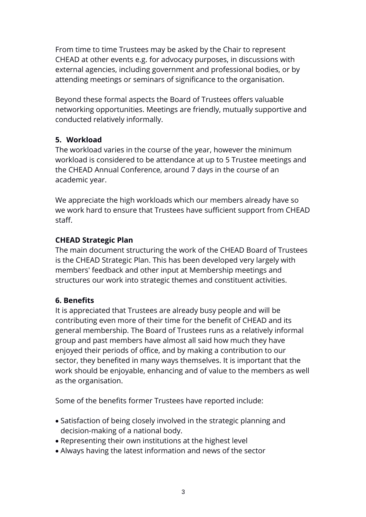From time to time Trustees may be asked by the Chair to represent CHEAD at other events e.g. for advocacy purposes, in discussions with external agencies, including government and professional bodies, or by attending meetings or seminars of significance to the organisation.

Beyond these formal aspects the Board of Trustees offers valuable networking opportunities. Meetings are friendly, mutually supportive and conducted relatively informally.

# **5. Workload**

The workload varies in the course of the year, however the minimum workload is considered to be attendance at up to 5 Trustee meetings and the CHEAD Annual Conference, around 7 days in the course of an academic year.

We appreciate the high workloads which our members already have so we work hard to ensure that Trustees have sufficient support from CHEAD staff.

## **CHEAD Strategic Plan**

The main document structuring the work of the CHEAD Board of Trustees is the CHEAD Strategic Plan. This has been developed very largely with members' feedback and other input at Membership meetings and structures our work into strategic themes and constituent activities.

# **6. Benefits**

It is appreciated that Trustees are already busy people and will be contributing even more of their time for the benefit of CHEAD and its general membership. The Board of Trustees runs as a relatively informal group and past members have almost all said how much they have enjoyed their periods of office, and by making a contribution to our sector, they benefited in many ways themselves. It is important that the work should be enjoyable, enhancing and of value to the members as well as the organisation.

Some of the benefits former Trustees have reported include:

- Satisfaction of being closely involved in the strategic planning and decision-making of a national body.
- Representing their own institutions at the highest level
- Always having the latest information and news of the sector